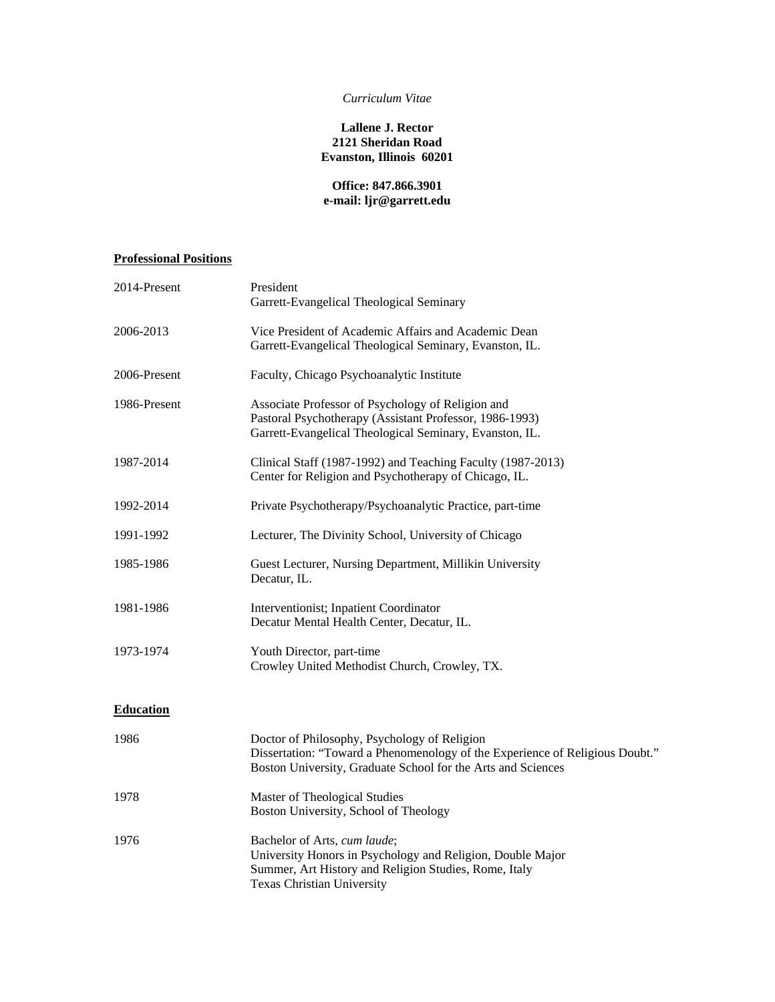### *Curriculum Vitae*

## **Lallene J. Rector 2121 Sheridan Road Evanston, Illinois 60201**

# **Office: 847.866.3901 e-mail: ljr@garrett.edu**

# **Professional Positions**

| 2014-Present     | President<br>Garrett-Evangelical Theological Seminary                                                                                                                                        |
|------------------|----------------------------------------------------------------------------------------------------------------------------------------------------------------------------------------------|
| 2006-2013        | Vice President of Academic Affairs and Academic Dean<br>Garrett-Evangelical Theological Seminary, Evanston, IL.                                                                              |
| 2006-Present     | Faculty, Chicago Psychoanalytic Institute                                                                                                                                                    |
| 1986-Present     | Associate Professor of Psychology of Religion and<br>Pastoral Psychotherapy (Assistant Professor, 1986-1993)<br>Garrett-Evangelical Theological Seminary, Evanston, IL.                      |
| 1987-2014        | Clinical Staff (1987-1992) and Teaching Faculty (1987-2013)<br>Center for Religion and Psychotherapy of Chicago, IL.                                                                         |
| 1992-2014        | Private Psychotherapy/Psychoanalytic Practice, part-time                                                                                                                                     |
| 1991-1992        | Lecturer, The Divinity School, University of Chicago                                                                                                                                         |
| 1985-1986        | Guest Lecturer, Nursing Department, Millikin University<br>Decatur, IL.                                                                                                                      |
| 1981-1986        | Interventionist; Inpatient Coordinator<br>Decatur Mental Health Center, Decatur, IL.                                                                                                         |
| 1973-1974        | Youth Director, part-time<br>Crowley United Methodist Church, Crowley, TX.                                                                                                                   |
| <b>Education</b> |                                                                                                                                                                                              |
| 1986             | Doctor of Philosophy, Psychology of Religion<br>Dissertation: "Toward a Phenomenology of the Experience of Religious Doubt."<br>Boston University, Graduate School for the Arts and Sciences |
| 1978             | Master of Theological Studies<br>Boston University, School of Theology                                                                                                                       |
| 1976             | Bachelor of Arts, cum laude;<br>University Honors in Psychology and Religion, Double Major<br>Summer, Art History and Religion Studies, Rome, Italy<br><b>Texas Christian University</b>     |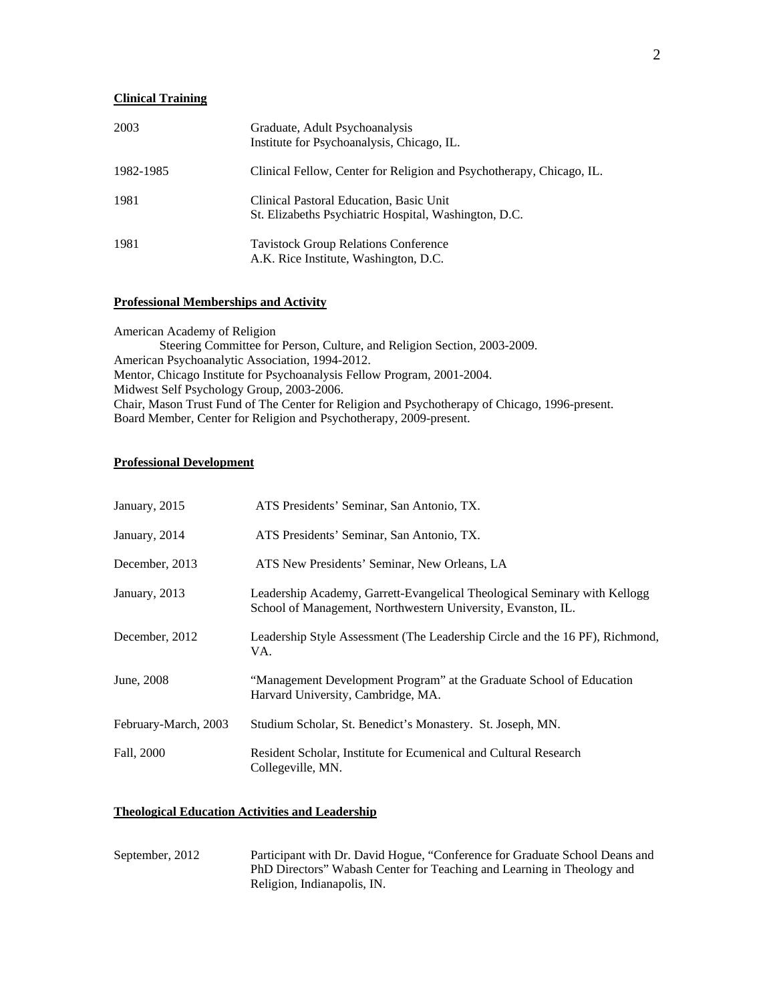# **Clinical Training**

| 2003      | Graduate, Adult Psychoanalysis<br>Institute for Psychoanalysis, Chicago, IL.                     |
|-----------|--------------------------------------------------------------------------------------------------|
| 1982-1985 | Clinical Fellow, Center for Religion and Psychotherapy, Chicago, IL.                             |
| 1981      | Clinical Pastoral Education, Basic Unit<br>St. Elizabeths Psychiatric Hospital, Washington, D.C. |
| 1981      | <b>Tavistock Group Relations Conference</b><br>A.K. Rice Institute, Washington, D.C.             |

#### **Professional Memberships and Activity**

American Academy of Religion Steering Committee for Person, Culture, and Religion Section, 2003-2009. American Psychoanalytic Association, 1994-2012. Mentor, Chicago Institute for Psychoanalysis Fellow Program, 2001-2004. Midwest Self Psychology Group, 2003-2006. Chair, Mason Trust Fund of The Center for Religion and Psychotherapy of Chicago, 1996-present. Board Member, Center for Religion and Psychotherapy, 2009-present.

#### **Professional Development**

| January, 2015        | ATS Presidents' Seminar, San Antonio, TX.                                                                                                 |
|----------------------|-------------------------------------------------------------------------------------------------------------------------------------------|
| January, 2014        | ATS Presidents' Seminar, San Antonio, TX.                                                                                                 |
| December, 2013       | ATS New Presidents' Seminar, New Orleans, LA                                                                                              |
| January, 2013        | Leadership Academy, Garrett-Evangelical Theological Seminary with Kellogg<br>School of Management, Northwestern University, Evanston, IL. |
| December, 2012       | Leadership Style Assessment (The Leadership Circle and the 16 PF), Richmond,<br>VA.                                                       |
| June, 2008           | "Management Development Program" at the Graduate School of Education<br>Harvard University, Cambridge, MA.                                |
| February-March, 2003 | Studium Scholar, St. Benedict's Monastery. St. Joseph, MN.                                                                                |
| Fall, 2000           | Resident Scholar, Institute for Ecumenical and Cultural Research<br>Collegeville, MN.                                                     |

### **Theological Education Activities and Leadership**

| September, 2012 | Participant with Dr. David Hogue, "Conference for Graduate School Deans and |
|-----------------|-----------------------------------------------------------------------------|
|                 | PhD Directors" Wabash Center for Teaching and Learning in Theology and      |
|                 | Religion, Indianapolis, IN.                                                 |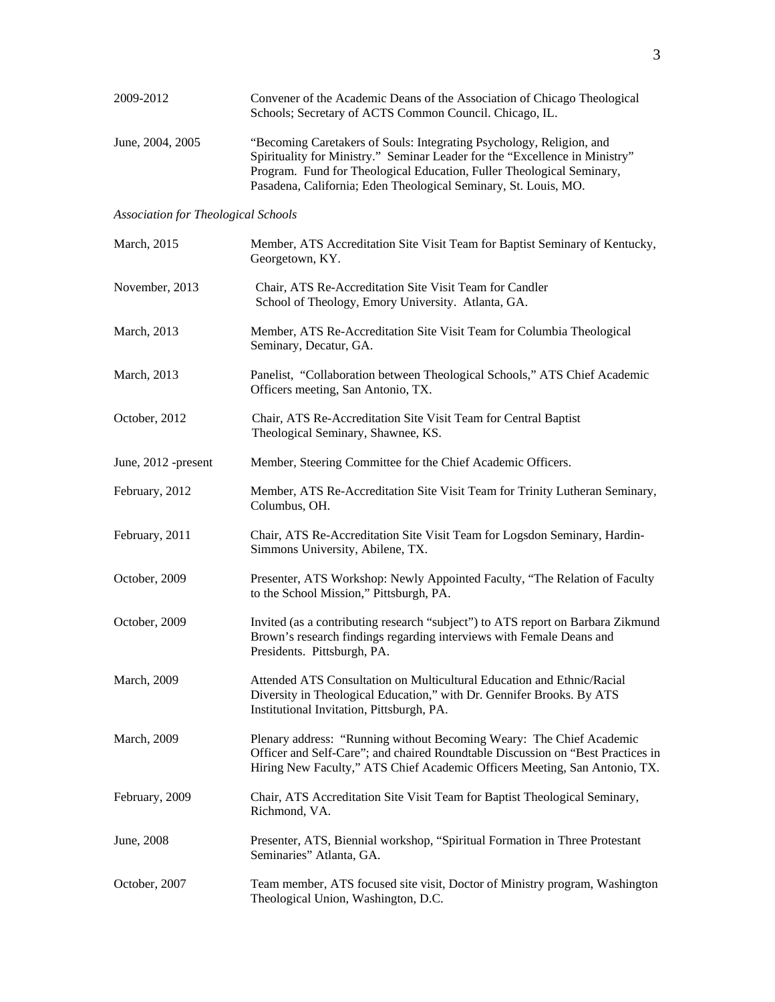| 2009-2012                                  | Convener of the Academic Deans of the Association of Chicago Theological<br>Schools; Secretary of ACTS Common Council. Chicago, IL.                                                                                                                                                             |
|--------------------------------------------|-------------------------------------------------------------------------------------------------------------------------------------------------------------------------------------------------------------------------------------------------------------------------------------------------|
| June, 2004, 2005                           | "Becoming Caretakers of Souls: Integrating Psychology, Religion, and<br>Spirituality for Ministry." Seminar Leader for the "Excellence in Ministry"<br>Program. Fund for Theological Education, Fuller Theological Seminary,<br>Pasadena, California; Eden Theological Seminary, St. Louis, MO. |
| <b>Association for Theological Schools</b> |                                                                                                                                                                                                                                                                                                 |
| March, 2015                                | Member, ATS Accreditation Site Visit Team for Baptist Seminary of Kentucky,<br>Georgetown, KY.                                                                                                                                                                                                  |
| November, 2013                             | Chair, ATS Re-Accreditation Site Visit Team for Candler<br>School of Theology, Emory University. Atlanta, GA.                                                                                                                                                                                   |
| March, 2013                                | Member, ATS Re-Accreditation Site Visit Team for Columbia Theological<br>Seminary, Decatur, GA.                                                                                                                                                                                                 |
| March, 2013                                | Panelist, "Collaboration between Theological Schools," ATS Chief Academic<br>Officers meeting, San Antonio, TX.                                                                                                                                                                                 |
| October, 2012                              | Chair, ATS Re-Accreditation Site Visit Team for Central Baptist<br>Theological Seminary, Shawnee, KS.                                                                                                                                                                                           |
| June, 2012 -present                        | Member, Steering Committee for the Chief Academic Officers.                                                                                                                                                                                                                                     |
| February, 2012                             | Member, ATS Re-Accreditation Site Visit Team for Trinity Lutheran Seminary,<br>Columbus, OH.                                                                                                                                                                                                    |
| February, 2011                             | Chair, ATS Re-Accreditation Site Visit Team for Logsdon Seminary, Hardin-<br>Simmons University, Abilene, TX.                                                                                                                                                                                   |
| October, 2009                              | Presenter, ATS Workshop: Newly Appointed Faculty, "The Relation of Faculty<br>to the School Mission," Pittsburgh, PA.                                                                                                                                                                           |
| October, 2009                              | Invited (as a contributing research "subject") to ATS report on Barbara Zikmund<br>Brown's research findings regarding interviews with Female Deans and<br>Presidents. Pittsburgh, PA.                                                                                                          |
| March, 2009                                | Attended ATS Consultation on Multicultural Education and Ethnic/Racial<br>Diversity in Theological Education," with Dr. Gennifer Brooks. By ATS<br>Institutional Invitation, Pittsburgh, PA.                                                                                                    |
| March, 2009                                | Plenary address: "Running without Becoming Weary: The Chief Academic<br>Officer and Self-Care"; and chaired Roundtable Discussion on "Best Practices in<br>Hiring New Faculty," ATS Chief Academic Officers Meeting, San Antonio, TX.                                                           |
| February, 2009                             | Chair, ATS Accreditation Site Visit Team for Baptist Theological Seminary,<br>Richmond, VA.                                                                                                                                                                                                     |
| June, 2008                                 | Presenter, ATS, Biennial workshop, "Spiritual Formation in Three Protestant<br>Seminaries" Atlanta, GA.                                                                                                                                                                                         |
| October, 2007                              | Team member, ATS focused site visit, Doctor of Ministry program, Washington<br>Theological Union, Washington, D.C.                                                                                                                                                                              |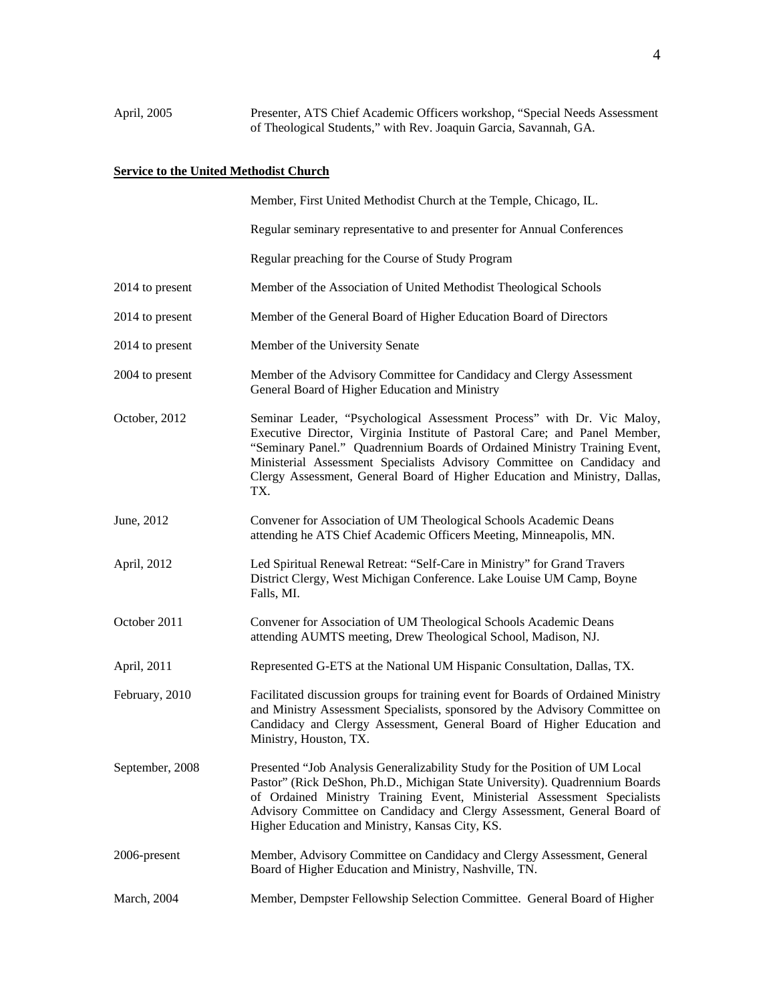# **Service to the United Methodist Church**

|                 | Member, First United Methodist Church at the Temple, Chicago, IL.                                                                                                                                                                                                                                                                                                                                |
|-----------------|--------------------------------------------------------------------------------------------------------------------------------------------------------------------------------------------------------------------------------------------------------------------------------------------------------------------------------------------------------------------------------------------------|
|                 | Regular seminary representative to and presenter for Annual Conferences                                                                                                                                                                                                                                                                                                                          |
|                 | Regular preaching for the Course of Study Program                                                                                                                                                                                                                                                                                                                                                |
| 2014 to present | Member of the Association of United Methodist Theological Schools                                                                                                                                                                                                                                                                                                                                |
| 2014 to present | Member of the General Board of Higher Education Board of Directors                                                                                                                                                                                                                                                                                                                               |
| 2014 to present | Member of the University Senate                                                                                                                                                                                                                                                                                                                                                                  |
| 2004 to present | Member of the Advisory Committee for Candidacy and Clergy Assessment<br>General Board of Higher Education and Ministry                                                                                                                                                                                                                                                                           |
| October, 2012   | Seminar Leader, "Psychological Assessment Process" with Dr. Vic Maloy,<br>Executive Director, Virginia Institute of Pastoral Care; and Panel Member,<br>"Seminary Panel." Quadrennium Boards of Ordained Ministry Training Event,<br>Ministerial Assessment Specialists Advisory Committee on Candidacy and<br>Clergy Assessment, General Board of Higher Education and Ministry, Dallas,<br>TX. |
| June, 2012      | Convener for Association of UM Theological Schools Academic Deans<br>attending he ATS Chief Academic Officers Meeting, Minneapolis, MN.                                                                                                                                                                                                                                                          |
| April, 2012     | Led Spiritual Renewal Retreat: "Self-Care in Ministry" for Grand Travers<br>District Clergy, West Michigan Conference. Lake Louise UM Camp, Boyne<br>Falls, MI.                                                                                                                                                                                                                                  |
| October 2011    | Convener for Association of UM Theological Schools Academic Deans<br>attending AUMTS meeting, Drew Theological School, Madison, NJ.                                                                                                                                                                                                                                                              |
| April, 2011     | Represented G-ETS at the National UM Hispanic Consultation, Dallas, TX.                                                                                                                                                                                                                                                                                                                          |
| February, 2010  | Facilitated discussion groups for training event for Boards of Ordained Ministry<br>and Ministry Assessment Specialists, sponsored by the Advisory Committee on<br>Candidacy and Clergy Assessment, General Board of Higher Education and<br>Ministry, Houston, TX.                                                                                                                              |
| September, 2008 | Presented "Job Analysis Generalizability Study for the Position of UM Local<br>Pastor" (Rick DeShon, Ph.D., Michigan State University). Quadrennium Boards<br>of Ordained Ministry Training Event, Ministerial Assessment Specialists<br>Advisory Committee on Candidacy and Clergy Assessment, General Board of<br>Higher Education and Ministry, Kansas City, KS.                              |
| 2006-present    | Member, Advisory Committee on Candidacy and Clergy Assessment, General<br>Board of Higher Education and Ministry, Nashville, TN.                                                                                                                                                                                                                                                                 |
| March, 2004     | Member, Dempster Fellowship Selection Committee. General Board of Higher                                                                                                                                                                                                                                                                                                                         |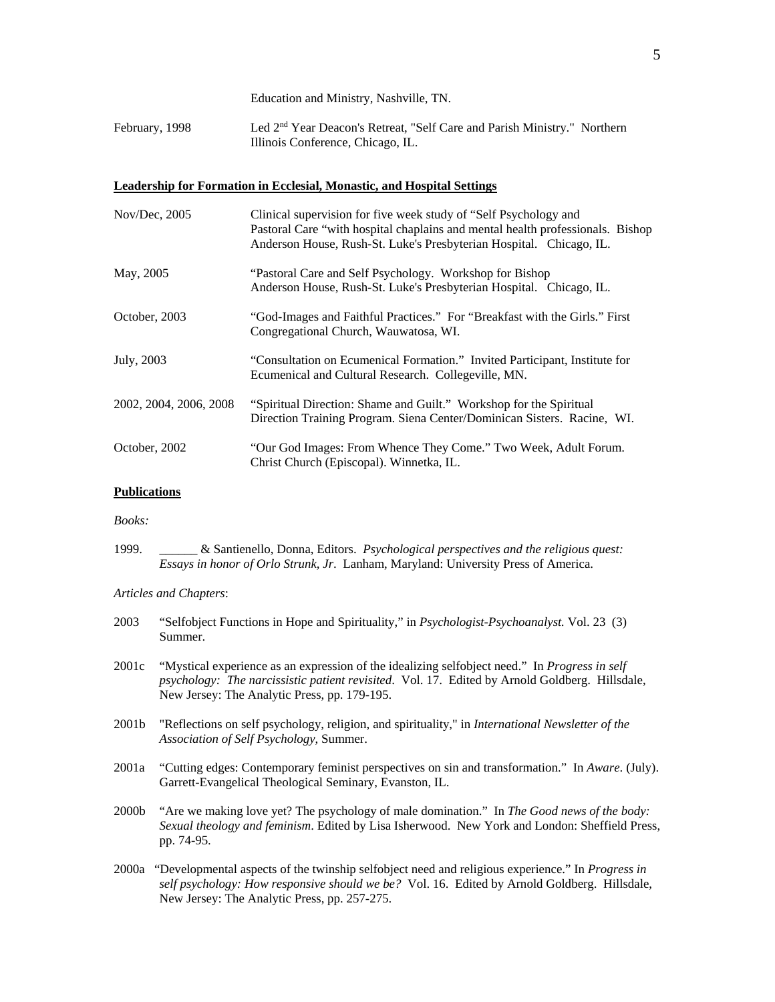Education and Ministry, Nashville, TN.

February, 1998 Led 2<sup>nd</sup> Year Deacon's Retreat, "Self Care and Parish Ministry." Northern Illinois Conference, Chicago, IL.

### **Leadership for Formation in Ecclesial, Monastic, and Hospital Settings**

| Nov/Dec, 2005          | Clinical supervision for five week study of "Self Psychology and<br>Pastoral Care "with hospital chaplains and mental health professionals. Bishop<br>Anderson House, Rush-St. Luke's Presbyterian Hospital. Chicago, IL. |
|------------------------|---------------------------------------------------------------------------------------------------------------------------------------------------------------------------------------------------------------------------|
| May, 2005              | "Pastoral Care and Self Psychology. Workshop for Bishop<br>Anderson House, Rush-St. Luke's Presbyterian Hospital. Chicago, IL.                                                                                            |
| October, 2003          | "God-Images and Faithful Practices." For "Breakfast with the Girls." First<br>Congregational Church, Wauwatosa, WI.                                                                                                       |
| July, 2003             | "Consultation on Ecumenical Formation." Invited Participant, Institute for<br>Ecumenical and Cultural Research. Collegeville, MN.                                                                                         |
| 2002, 2004, 2006, 2008 | "Spiritual Direction: Shame and Guilt." Workshop for the Spiritual<br>Direction Training Program. Siena Center/Dominican Sisters. Racine, WI.                                                                             |
| October, 2002          | "Our God Images: From Whence They Come." Two Week, Adult Forum.<br>Christ Church (Episcopal). Winnetka, IL.                                                                                                               |

#### **Publications**

*Books:* 

1999. \_\_\_\_\_\_ & Santienello, Donna, Editors. *Psychological perspectives and the religious quest: Essays in honor of Orlo Strunk, Jr*. Lanham, Maryland: University Press of America.

*Articles and Chapters*:

| 2003  | "Selfobject Functions in Hope and Spirituality," in <i>Psychologist-Psychoanalyst</i> . Vol. 23 (3)<br>Summer.                                                                                                                                                |
|-------|---------------------------------------------------------------------------------------------------------------------------------------------------------------------------------------------------------------------------------------------------------------|
| 2001c | "Mystical experience as an expression of the idealizing selfobject need." In <i>Progress in self</i><br>psychology: The narcissistic patient revisited. Vol. 17. Edited by Arnold Goldberg. Hillsdale,<br>New Jersey: The Analytic Press, pp. 179-195.        |
| 2001b | "Reflections on self psychology, religion, and spirituality," in <i>International Newsletter of the</i><br>Association of Self Psychology, Summer.                                                                                                            |
| 2001a | "Cutting edges: Contemporary feminist perspectives on sin and transformation." In Aware. (July).<br>Garrett-Evangelical Theological Seminary, Evanston, IL.                                                                                                   |
| 2000b | "Are we making love yet? The psychology of male domination." In The Good news of the body:<br>Sexual theology and feminism. Edited by Lisa Isherwood. New York and London: Sheffield Press,<br>pp. 74-95.                                                     |
|       | 2000a "Developmental aspects of the twinship selfobject need and religious experience." In <i>Progress in</i><br>self psychology: How responsive should we be? Vol. 16. Edited by Arnold Goldberg. Hillsdale,<br>New Jersey: The Analytic Press, pp. 257-275. |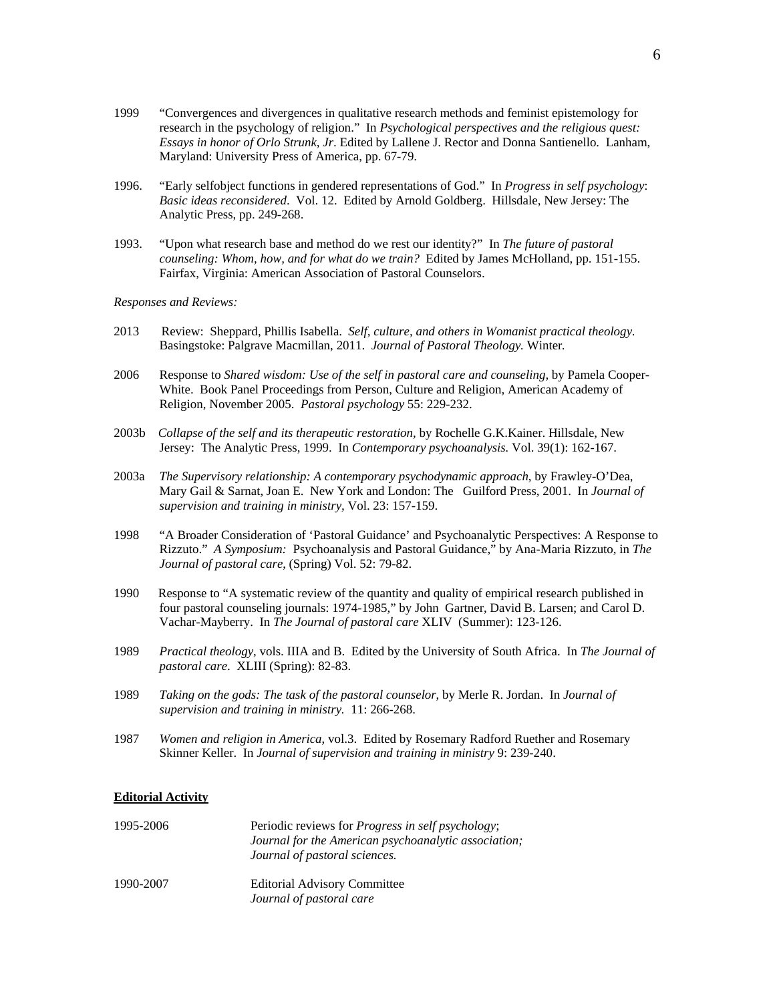- 1999 "Convergences and divergences in qualitative research methods and feminist epistemology for research in the psychology of religion." In *Psychological perspectives and the religious quest: Essays in honor of Orlo Strunk, Jr*. Edited by Lallene J. Rector and Donna Santienello. Lanham, Maryland: University Press of America, pp. 67-79.
- 1996. "Early selfobject functions in gendered representations of God." In *Progress in self psychology*: *Basic ideas reconsidered*. Vol. 12. Edited by Arnold Goldberg. Hillsdale, New Jersey: The Analytic Press, pp. 249-268.
- 1993. "Upon what research base and method do we rest our identity?" In *The future of pastoral counseling: Whom, how, and for what do we train?* Edited by James McHolland, pp. 151-155. Fairfax, Virginia: American Association of Pastoral Counselors.

#### *Responses and Reviews:*

- 2013 Review: Sheppard, Phillis Isabella. *Self, culture, and others in Womanist practical theology*. Basingstoke: Palgrave Macmillan, 2011. *Journal of Pastoral Theology.* Winter*.*
- 2006 Response to *Shared wisdom: Use of the self in pastoral care and counseling,* by Pamela Cooper-White. Book Panel Proceedings from Person, Culture and Religion, American Academy of Religion, November 2005. *Pastoral psychology* 55: 229-232.
- 2003b *Collapse of the self and its therapeutic restoration,* by Rochelle G.K.Kainer. Hillsdale, New Jersey: The Analytic Press, 1999. In *Contemporary psychoanalysis.* Vol. 39(1): 162-167.
- 2003a *The Supervisory relationship: A contemporary psychodynamic approach*, by Frawley-O'Dea, Mary Gail & Sarnat, Joan E. New York and London: The Guilford Press, 2001. In *Journal of supervision and training in ministry,* Vol. 23: 157-159.
- 1998 "A Broader Consideration of 'Pastoral Guidance' and Psychoanalytic Perspectives: A Response to Rizzuto." *A Symposium:* Psychoanalysis and Pastoral Guidance," by Ana-Maria Rizzuto, in *The Journal of pastoral care*, (Spring) Vol. 52: 79-82.
- 1990 Response to "A systematic review of the quantity and quality of empirical research published in four pastoral counseling journals: 1974-1985," by John Gartner, David B. Larsen; and Carol D. Vachar-Mayberry. In *The Journal of pastoral care* XLIV (Summer): 123-126.
- 1989 *Practical theology*, vols. IIIA and B. Edited by the University of South Africa. In *The Journal of pastoral care*. XLIII (Spring): 82-83.
- 1989 *Taking on the gods: The task of the pastoral counselor*, by Merle R. Jordan. In *Journal of supervision and training in ministry.* 11: 266-268.
- 1987 *Women and religion in America*, vol.3. Edited by Rosemary Radford Ruether and Rosemary Skinner Keller. In *Journal of supervision and training in ministry* 9: 239-240.

#### **Editorial Activity**

| 1995-2006 | Periodic reviews for <i>Progress in self psychology</i> ;<br>Journal for the American psychoanalytic association;<br>Journal of pastoral sciences. |
|-----------|----------------------------------------------------------------------------------------------------------------------------------------------------|
| 1990-2007 | <b>Editorial Advisory Committee</b><br>Journal of pastoral care                                                                                    |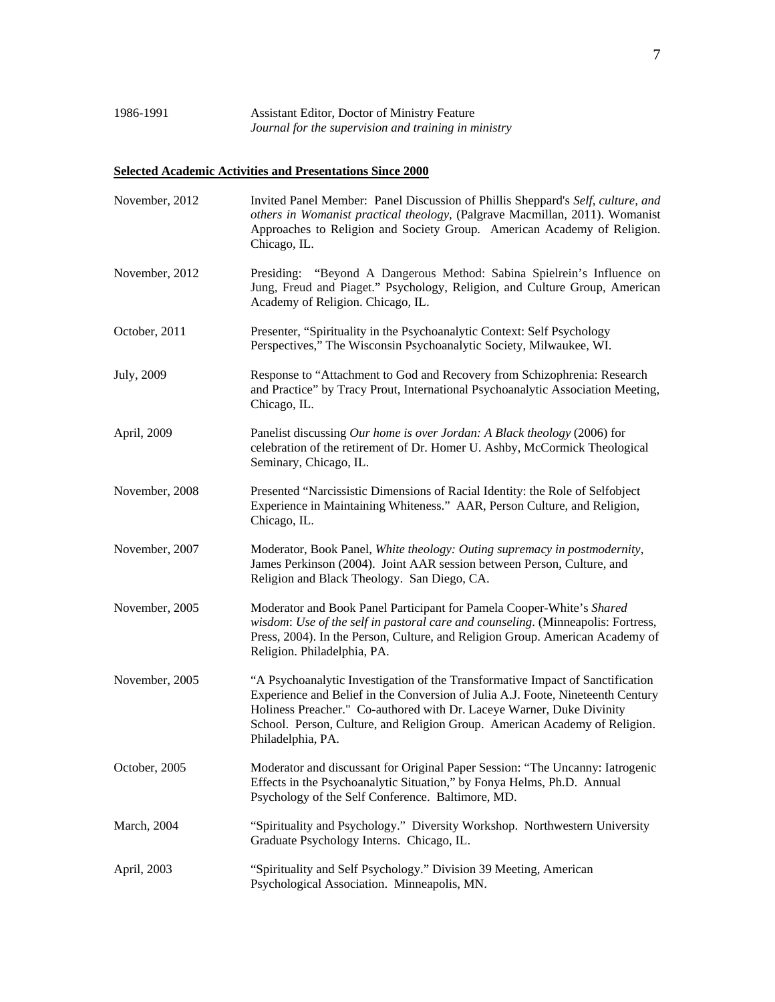# **Selected Academic Activities and Presentations Since 2000**

| November, 2012 | Invited Panel Member: Panel Discussion of Phillis Sheppard's Self, culture, and<br>others in Womanist practical theology, (Palgrave Macmillan, 2011). Womanist<br>Approaches to Religion and Society Group. American Academy of Religion.<br>Chicago, IL.                                                                                     |
|----------------|-----------------------------------------------------------------------------------------------------------------------------------------------------------------------------------------------------------------------------------------------------------------------------------------------------------------------------------------------|
| November, 2012 | Presiding: "Beyond A Dangerous Method: Sabina Spielrein's Influence on<br>Jung, Freud and Piaget." Psychology, Religion, and Culture Group, American<br>Academy of Religion. Chicago, IL.                                                                                                                                                     |
| October, 2011  | Presenter, "Spirituality in the Psychoanalytic Context: Self Psychology<br>Perspectives," The Wisconsin Psychoanalytic Society, Milwaukee, WI.                                                                                                                                                                                                |
| July, 2009     | Response to "Attachment to God and Recovery from Schizophrenia: Research<br>and Practice" by Tracy Prout, International Psychoanalytic Association Meeting,<br>Chicago, IL.                                                                                                                                                                   |
| April, 2009    | Panelist discussing Our home is over Jordan: A Black theology (2006) for<br>celebration of the retirement of Dr. Homer U. Ashby, McCormick Theological<br>Seminary, Chicago, IL.                                                                                                                                                              |
| November, 2008 | Presented "Narcissistic Dimensions of Racial Identity: the Role of Selfobject<br>Experience in Maintaining Whiteness." AAR, Person Culture, and Religion,<br>Chicago, IL.                                                                                                                                                                     |
| November, 2007 | Moderator, Book Panel, White theology: Outing supremacy in postmodernity,<br>James Perkinson (2004). Joint AAR session between Person, Culture, and<br>Religion and Black Theology. San Diego, CA.                                                                                                                                            |
| November, 2005 | Moderator and Book Panel Participant for Pamela Cooper-White's Shared<br>wisdom: Use of the self in pastoral care and counseling. (Minneapolis: Fortress,<br>Press, 2004). In the Person, Culture, and Religion Group. American Academy of<br>Religion. Philadelphia, PA.                                                                     |
| November, 2005 | "A Psychoanalytic Investigation of the Transformative Impact of Sanctification<br>Experience and Belief in the Conversion of Julia A.J. Foote, Nineteenth Century<br>Holiness Preacher." Co-authored with Dr. Laceye Warner, Duke Divinity<br>School. Person, Culture, and Religion Group. American Academy of Religion.<br>Philadelphia, PA. |
| October, 2005  | Moderator and discussant for Original Paper Session: "The Uncanny: Iatrogenic<br>Effects in the Psychoanalytic Situation," by Fonya Helms, Ph.D. Annual<br>Psychology of the Self Conference. Baltimore, MD.                                                                                                                                  |
| March, 2004    | "Spirituality and Psychology." Diversity Workshop. Northwestern University<br>Graduate Psychology Interns. Chicago, IL.                                                                                                                                                                                                                       |
| April, 2003    | "Spirituality and Self Psychology." Division 39 Meeting, American<br>Psychological Association. Minneapolis, MN.                                                                                                                                                                                                                              |